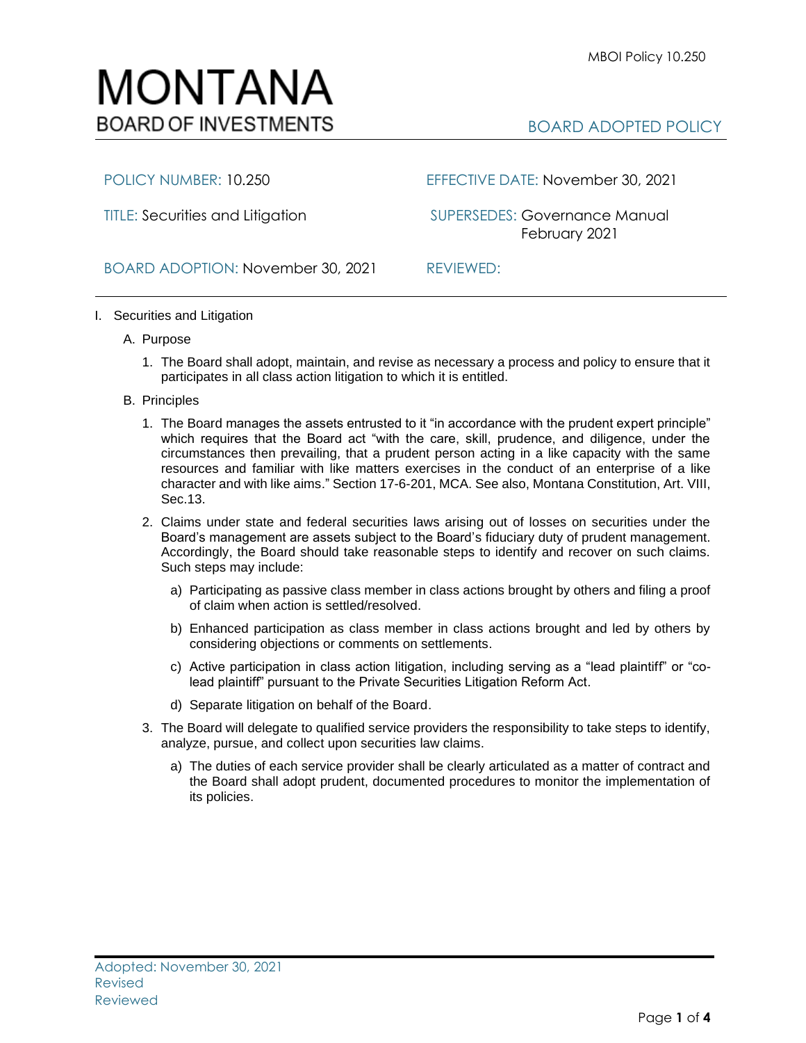BOARD ADOPTED POLICY



MONTANA

**BOARD OF INVESTMENTS** 

POLICY NUMBER: 10.250 EFFECTIVE DATE: November 30, 2021

TITLE: Securities and Litigation SUPERSEDES: Governance Manual February 2021

BOARD ADOPTION: November 30, 2021 REVIEWED:

## I. Securities and Litigation

- A. Purpose
	- 1. The Board shall adopt, maintain, and revise as necessary a process and policy to ensure that it participates in all class action litigation to which it is entitled.
- B. Principles
	- 1. The Board manages the assets entrusted to it "in accordance with the prudent expert principle" which requires that the Board act "with the care, skill, prudence, and diligence, under the circumstances then prevailing, that a prudent person acting in a like capacity with the same resources and familiar with like matters exercises in the conduct of an enterprise of a like character and with like aims." Sectio[n 17-6-201, MCA.](http://leg.mt.gov/bills/mca/title_0170/chapter_0060/part_0020/section_0010/0170-0060-0020-0010.html) See also, [Montana Constitution, Art. VIII,](http://leg.mt.gov/bills/mca/CONSTITUTION/VIII/13.htm)  [Sec.13.](http://leg.mt.gov/bills/mca/CONSTITUTION/VIII/13.htm)
	- 2. Claims under state and federal securities laws arising out of losses on securities under the Board's management are assets subject to the Board's fiduciary duty of prudent management. Accordingly, the Board should take reasonable steps to identify and recover on such claims. Such steps may include:
		- a) Participating as passive class member in class actions brought by others and filing a proof of claim when action is settled/resolved.
		- b) Enhanced participation as class member in class actions brought and led by others by considering objections or comments on settlements.
		- c) Active participation in class action litigation, including serving as a "lead plaintiff" or "colead plaintiff" pursuant to the Private Securities Litigation Reform Act.
		- d) Separate litigation on behalf of the Board.
	- 3. The Board will delegate to qualified service providers the responsibility to take steps to identify, analyze, pursue, and collect upon securities law claims.
		- a) The duties of each service provider shall be clearly articulated as a matter of contract and the Board shall adopt prudent, documented procedures to monitor the implementation of its policies.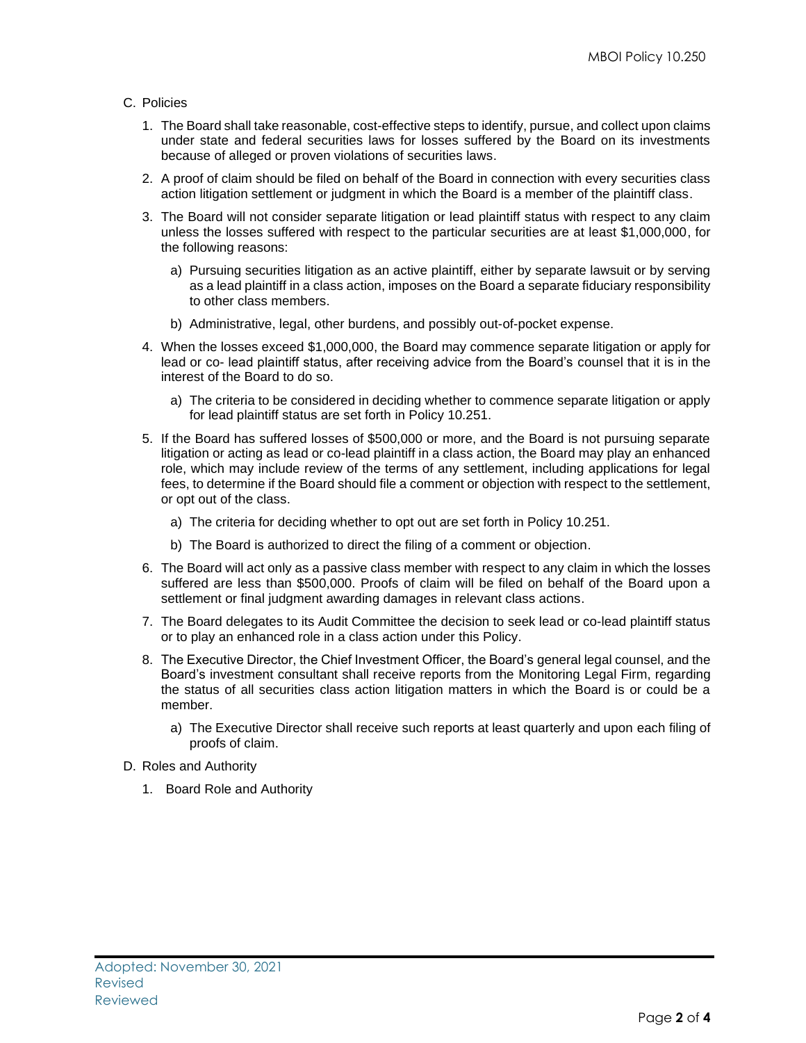## C. Policies

- 1. The Board shall take reasonable, cost-effective steps to identify, pursue, and collect upon claims under state and federal securities laws for losses suffered by the Board on its investments because of alleged or proven violations of securities laws.
- 2. A proof of claim should be filed on behalf of the Board in connection with every securities class action litigation settlement or judgment in which the Board is a member of the plaintiff class.
- 3. The Board will not consider separate litigation or lead plaintiff status with respect to any claim unless the losses suffered with respect to the particular securities are at least \$1,000,000, for the following reasons:
	- a) Pursuing securities litigation as an active plaintiff, either by separate lawsuit or by serving as a lead plaintiff in a class action, imposes on the Board a separate fiduciary responsibility to other class members.
	- b) Administrative, legal, other burdens, and possibly out-of-pocket expense.
- 4. When the losses exceed \$1,000,000, the Board may commence separate litigation or apply for lead or co- lead plaintiff status, after receiving advice from the Board's counsel that it is in the interest of the Board to do so.
	- a) The criteria to be considered in deciding whether to commence separate litigation or apply for lead plaintiff status are set forth in Policy 10.251.
- 5. If the Board has suffered losses of \$500,000 or more, and the Board is not pursuing separate litigation or acting as lead or co-lead plaintiff in a class action, the Board may play an enhanced role, which may include review of the terms of any settlement, including applications for legal fees, to determine if the Board should file a comment or objection with respect to the settlement, or opt out of the class.
	- a) The criteria for deciding whether to opt out are set forth in Policy 10.251.
	- b) The Board is authorized to direct the filing of a comment or objection.
- 6. The Board will act only as a passive class member with respect to any claim in which the losses suffered are less than \$500,000. Proofs of claim will be filed on behalf of the Board upon a settlement or final judgment awarding damages in relevant class actions.
- 7. The Board delegates to its Audit Committee the decision to seek lead or co-lead plaintiff status or to play an enhanced role in a class action under this Policy.
- 8. The Executive Director, the Chief Investment Officer, the Board's general legal counsel, and the Board's investment consultant shall receive reports from the Monitoring Legal Firm, regarding the status of all securities class action litigation matters in which the Board is or could be a member.
	- a) The Executive Director shall receive such reports at least quarterly and upon each filing of proofs of claim.
- D. Roles and Authority
	- 1. Board Role and Authority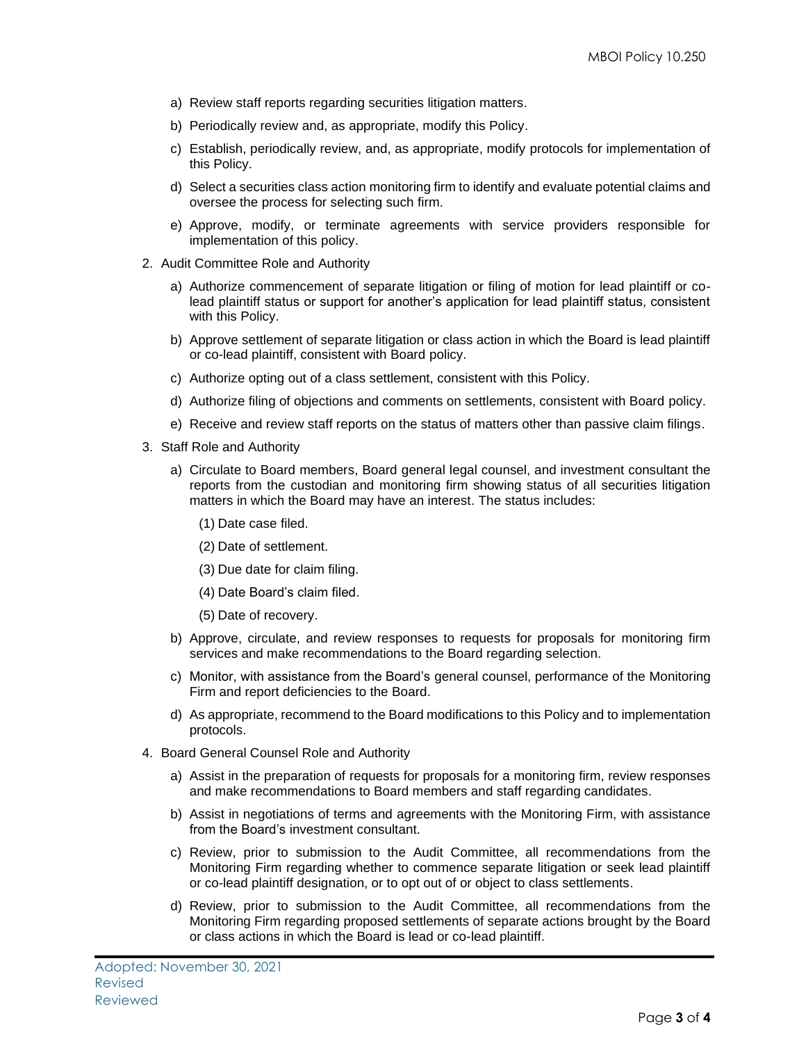- a) Review staff reports regarding securities litigation matters.
- b) Periodically review and, as appropriate, modify this Policy.
- c) Establish, periodically review, and, as appropriate, modify protocols for implementation of this Policy.
- d) Select a securities class action monitoring firm to identify and evaluate potential claims and oversee the process for selecting such firm.
- e) Approve, modify, or terminate agreements with service providers responsible for implementation of this policy.
- 2. Audit Committee Role and Authority
	- a) Authorize commencement of separate litigation or filing of motion for lead plaintiff or colead plaintiff status or support for another's application for lead plaintiff status, consistent with this Policy.
	- b) Approve settlement of separate litigation or class action in which the Board is lead plaintiff or co-lead plaintiff, consistent with Board policy.
	- c) Authorize opting out of a class settlement, consistent with this Policy.
	- d) Authorize filing of objections and comments on settlements, consistent with Board policy.
	- e) Receive and review staff reports on the status of matters other than passive claim filings.
- 3. Staff Role and Authority
	- a) Circulate to Board members, Board general legal counsel, and investment consultant the reports from the custodian and monitoring firm showing status of all securities litigation matters in which the Board may have an interest. The status includes:
		- (1) Date case filed.
		- (2) Date of settlement.
		- (3) Due date for claim filing.
		- (4) Date Board's claim filed.
		- (5) Date of recovery.
	- b) Approve, circulate, and review responses to requests for proposals for monitoring firm services and make recommendations to the Board regarding selection.
	- c) Monitor, with assistance from the Board's general counsel, performance of the Monitoring Firm and report deficiencies to the Board.
	- d) As appropriate, recommend to the Board modifications to this Policy and to implementation protocols.
- 4. Board General Counsel Role and Authority
	- a) Assist in the preparation of requests for proposals for a monitoring firm, review responses and make recommendations to Board members and staff regarding candidates.
	- b) Assist in negotiations of terms and agreements with the Monitoring Firm, with assistance from the Board's investment consultant.
	- c) Review, prior to submission to the Audit Committee, all recommendations from the Monitoring Firm regarding whether to commence separate litigation or seek lead plaintiff or co-lead plaintiff designation, or to opt out of or object to class settlements.
	- d) Review, prior to submission to the Audit Committee, all recommendations from the Monitoring Firm regarding proposed settlements of separate actions brought by the Board or class actions in which the Board is lead or co-lead plaintiff.